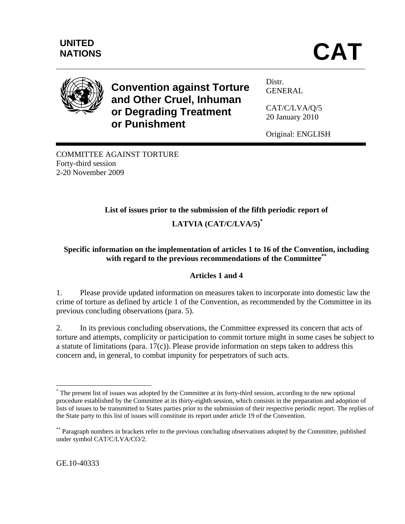

**Convention against Torture and Other Cruel, Inhuman or Degrading Treatment or Punishment** 

Distr. GENERAL

CAT/C/LVA/Q/5 20 January 2010

Original: ENGLISH

COMMITTEE AGAINST TORTURE Forty-third session 2-20 November 2009

# **List of issues prior to the submission of the fifth periodic report of**

## **LATVIA (CAT/C/LVA/5)\***

#### **Specific information on the implementation of articles 1 to 16 of the Convention, including with regard to the previous recommendations of the Committee\*\***

### **Articles 1 and 4**

1. Please provide updated information on measures taken to incorporate into domestic law the crime of torture as defined by article 1 of the Convention, as recommended by the Committee in its previous concluding observations (para. 5).

2. In its previous concluding observations, the Committee expressed its concern that acts of torture and attempts, complicity or participation to commit torture might in some cases be subject to a statute of limitations (para. 17(c)). Please provide information on steps taken to address this concern and, in general, to combat impunity for perpetrators of such acts.

1

<sup>\*</sup> The present list of issues was adopted by the Committee at its forty-third session, according to the new optional procedure established by the Committee at its thirty-eighth session, which consists in the preparation and adoption of lists of issues to be transmitted to States parties prior to the submission of their respective periodic report. The replies of the State party to this list of issues will constitute its report under article 19 of the Convention.

<sup>\*\*</sup> Paragraph numbers in brackets refer to the previous concluding observations adopted by the Committee, published under symbol CAT/C/LVA/CO/2.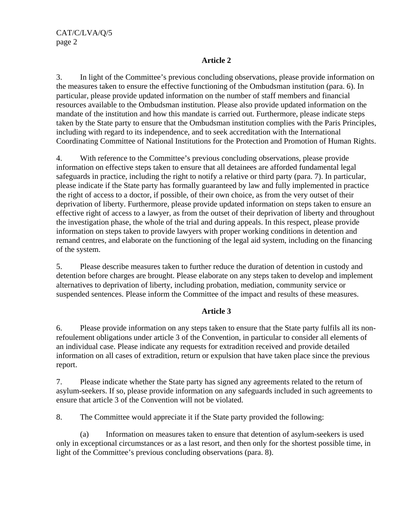#### **Article 2**

3. In light of the Committee's previous concluding observations, please provide information on the measures taken to ensure the effective functioning of the Ombudsman institution (para. 6). In particular, please provide updated information on the number of staff members and financial resources available to the Ombudsman institution. Please also provide updated information on the mandate of the institution and how this mandate is carried out. Furthermore, please indicate steps taken by the State party to ensure that the Ombudsman institution complies with the Paris Principles, including with regard to its independence, and to seek accreditation with the International Coordinating Committee of National Institutions for the Protection and Promotion of Human Rights.

4. With reference to the Committee's previous concluding observations, please provide information on effective steps taken to ensure that all detainees are afforded fundamental legal safeguards in practice, including the right to notify a relative or third party (para. 7). In particular, please indicate if the State party has formally guaranteed by law and fully implemented in practice the right of access to a doctor, if possible, of their own choice, as from the very outset of their deprivation of liberty. Furthermore, please provide updated information on steps taken to ensure an effective right of access to a lawyer, as from the outset of their deprivation of liberty and throughout the investigation phase, the whole of the trial and during appeals. In this respect, please provide information on steps taken to provide lawyers with proper working conditions in detention and remand centres, and elaborate on the functioning of the legal aid system, including on the financing of the system.

5. Please describe measures taken to further reduce the duration of detention in custody and detention before charges are brought. Please elaborate on any steps taken to develop and implement alternatives to deprivation of liberty, including probation, mediation, community service or suspended sentences. Please inform the Committee of the impact and results of these measures.

#### **Article 3**

6. Please provide information on any steps taken to ensure that the State party fulfils all its nonrefoulement obligations under article 3 of the Convention, in particular to consider all elements of an individual case. Please indicate any requests for extradition received and provide detailed information on all cases of extradition, return or expulsion that have taken place since the previous report.

7. Please indicate whether the State party has signed any agreements related to the return of asylum-seekers. If so, please provide information on any safeguards included in such agreements to ensure that article 3 of the Convention will not be violated.

8. The Committee would appreciate it if the State party provided the following:

(a) Information on measures taken to ensure that detention of asylum-seekers is used only in exceptional circumstances or as a last resort, and then only for the shortest possible time, in light of the Committee's previous concluding observations (para. 8).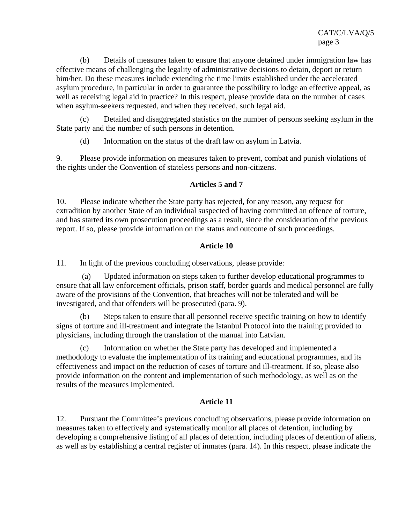(b) Details of measures taken to ensure that anyone detained under immigration law has effective means of challenging the legality of administrative decisions to detain, deport or return him/her. Do these measures include extending the time limits established under the accelerated asylum procedure, in particular in order to guarantee the possibility to lodge an effective appeal, as well as receiving legal aid in practice? In this respect, please provide data on the number of cases when asylum-seekers requested, and when they received, such legal aid.

(c) Detailed and disaggregated statistics on the number of persons seeking asylum in the State party and the number of such persons in detention.

(d) Information on the status of the draft law on asylum in Latvia.

9. Please provide information on measures taken to prevent, combat and punish violations of the rights under the Convention of stateless persons and non-citizens.

#### **Articles 5 and 7**

10. Please indicate whether the State party has rejected, for any reason, any request for extradition by another State of an individual suspected of having committed an offence of torture, and has started its own prosecution proceedings as a result, since the consideration of the previous report. If so, please provide information on the status and outcome of such proceedings.

#### **Article 10**

11. In light of the previous concluding observations, please provide:

 (a) Updated information on steps taken to further develop educational programmes to ensure that all law enforcement officials, prison staff, border guards and medical personnel are fully aware of the provisions of the Convention, that breaches will not be tolerated and will be investigated, and that offenders will be prosecuted (para. 9).

(b) Steps taken to ensure that all personnel receive specific training on how to identify signs of torture and ill-treatment and integrate the Istanbul Protocol into the training provided to physicians, including through the translation of the manual into Latvian.

(c) Information on whether the State party has developed and implemented a methodology to evaluate the implementation of its training and educational programmes, and its effectiveness and impact on the reduction of cases of torture and ill-treatment. If so, please also provide information on the content and implementation of such methodology, as well as on the results of the measures implemented.

#### **Article 11**

12. Pursuant the Committee's previous concluding observations, please provide information on measures taken to effectively and systematically monitor all places of detention, including by developing a comprehensive listing of all places of detention, including places of detention of aliens, as well as by establishing a central register of inmates (para. 14). In this respect, please indicate the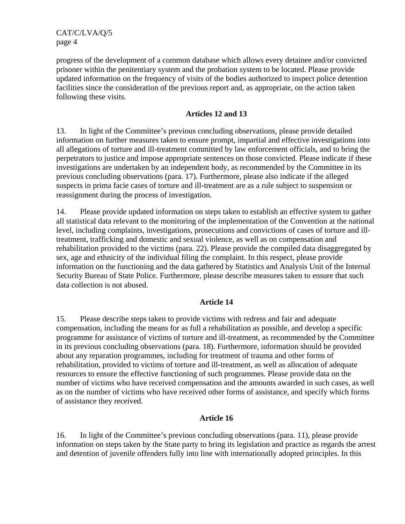CAT/C/LVA/Q/5 page 4

progress of the development of a common database which allows every detainee and/or convicted prisoner within the penitentiary system and the probation system to be located. Please provide updated information on the frequency of visits of the bodies authorized to inspect police detention facilities since the consideration of the previous report and, as appropriate, on the action taken following these visits.

#### **Articles 12 and 13**

13. In light of the Committee's previous concluding observations, please provide detailed information on further measures taken to ensure prompt, impartial and effective investigations into all allegations of torture and ill-treatment committed by law enforcement officials, and to bring the perpetrators to justice and impose appropriate sentences on those convicted. Please indicate if these investigations are undertaken by an independent body, as recommended by the Committee in its previous concluding observations (para. 17). Furthermore, please also indicate if the alleged suspects in prima facie cases of torture and ill-treatment are as a rule subject to suspension or reassignment during the process of investigation.

14. Please provide updated information on steps taken to establish an effective system to gather all statistical data relevant to the monitoring of the implementation of the Convention at the national level, including complaints, investigations, prosecutions and convictions of cases of torture and illtreatment, trafficking and domestic and sexual violence, as well as on compensation and rehabilitation provided to the victims (para. 22). Please provide the compiled data disaggregated by sex, age and ethnicity of the individual filing the complaint. In this respect, please provide information on the functioning and the data gathered by Statistics and Analysis Unit of the Internal Security Bureau of State Police. Furthermore, please describe measures taken to ensure that such data collection is not abused.

#### **Article 14**

15. Please describe steps taken to provide victims with redress and fair and adequate compensation, including the means for as full a rehabilitation as possible, and develop a specific programme for assistance of victims of torture and ill-treatment, as recommended by the Committee in its previous concluding observations (para. 18). Furthermore, information should be provided about any reparation programmes, including for treatment of trauma and other forms of rehabilitation, provided to victims of torture and ill-treatment, as well as allocation of adequate resources to ensure the effective functioning of such programmes. Please provide data on the number of victims who have received compensation and the amounts awarded in such cases, as well as on the number of victims who have received other forms of assistance, and specify which forms of assistance they received.

#### **Article 16**

16. In light of the Committee's previous concluding observations (para. 11), please provide information on steps taken by the State party to bring its legislation and practice as regards the arrest and detention of juvenile offenders fully into line with internationally adopted principles. In this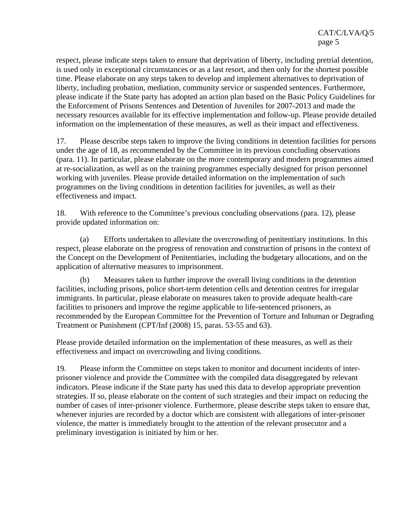respect, please indicate steps taken to ensure that deprivation of liberty, including pretrial detention, is used only in exceptional circumstances or as a last resort, and then only for the shortest possible time. Please elaborate on any steps taken to develop and implement alternatives to deprivation of liberty, including probation, mediation, community service or suspended sentences. Furthermore, please indicate if the State party has adopted an action plan based on the Basic Policy Guidelines for the Enforcement of Prisons Sentences and Detention of Juveniles for 2007-2013 and made the necessary resources available for its effective implementation and follow-up. Please provide detailed information on the implementation of these measures, as well as their impact and effectiveness.

17. Please describe steps taken to improve the living conditions in detention facilities for persons under the age of 18, as recommended by the Committee in its previous concluding observations (para. 11). In particular, please elaborate on the more contemporary and modern programmes aimed at re-socialization, as well as on the training programmes especially designed for prison personnel working with juveniles. Please provide detailed information on the implementation of such programmes on the living conditions in detention facilities for juveniles, as well as their effectiveness and impact.

18. With reference to the Committee's previous concluding observations (para. 12), please provide updated information on:

(a) Efforts undertaken to alleviate the overcrowding of penitentiary institutions. In this respect, please elaborate on the progress of renovation and construction of prisons in the context of the Concept on the Development of Penitentiaries, including the budgetary allocations, and on the application of alternative measures to imprisonment.

(b) Measures taken to further improve the overall living conditions in the detention facilities, including prisons, police short-term detention cells and detention centres for irregular immigrants. In particular, please elaborate on measures taken to provide adequate health-care facilities to prisoners and improve the regime applicable to life-sentenced prisoners, as recommended by the European Committee for the Prevention of Torture and Inhuman or Degrading Treatment or Punishment (CPT/Inf (2008) 15, paras. 53-55 and 63).

Please provide detailed information on the implementation of these measures, as well as their effectiveness and impact on overcrowding and living conditions.

19. Please inform the Committee on steps taken to monitor and document incidents of interprisoner violence and provide the Committee with the compiled data disaggregated by relevant indicators. Please indicate if the State party has used this data to develop appropriate prevention strategies. If so, please elaborate on the content of such strategies and their impact on reducing the number of cases of inter-prisoner violence. Furthermore, please describe steps taken to ensure that, whenever injuries are recorded by a doctor which are consistent with allegations of inter-prisoner violence, the matter is immediately brought to the attention of the relevant prosecutor and a preliminary investigation is initiated by him or her.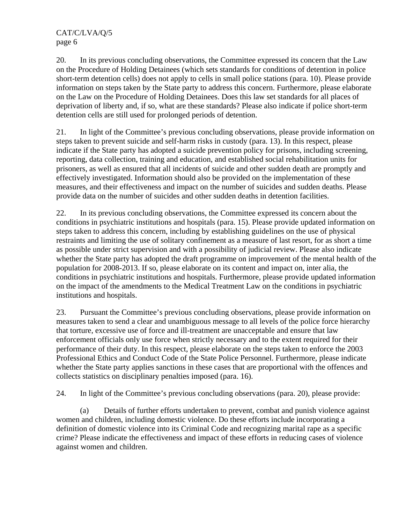20. In its previous concluding observations, the Committee expressed its concern that the Law on the Procedure of Holding Detainees (which sets standards for conditions of detention in police short-term detention cells) does not apply to cells in small police stations (para. 10). Please provide information on steps taken by the State party to address this concern. Furthermore, please elaborate on the Law on the Procedure of Holding Detainees. Does this law set standards for all places of deprivation of liberty and, if so, what are these standards? Please also indicate if police short-term detention cells are still used for prolonged periods of detention.

21. In light of the Committee's previous concluding observations, please provide information on steps taken to prevent suicide and self-harm risks in custody (para. 13). In this respect, please indicate if the State party has adopted a suicide prevention policy for prisons, including screening, reporting, data collection, training and education, and established social rehabilitation units for prisoners, as well as ensured that all incidents of suicide and other sudden death are promptly and effectively investigated. Information should also be provided on the implementation of these measures, and their effectiveness and impact on the number of suicides and sudden deaths. Please provide data on the number of suicides and other sudden deaths in detention facilities.

22. In its previous concluding observations, the Committee expressed its concern about the conditions in psychiatric institutions and hospitals (para. 15). Please provide updated information on steps taken to address this concern, including by establishing guidelines on the use of physical restraints and limiting the use of solitary confinement as a measure of last resort, for as short a time as possible under strict supervision and with a possibility of judicial review. Please also indicate whether the State party has adopted the draft programme on improvement of the mental health of the population for 2008-2013. If so, please elaborate on its content and impact on, inter alia, the conditions in psychiatric institutions and hospitals. Furthermore, please provide updated information on the impact of the amendments to the Medical Treatment Law on the conditions in psychiatric institutions and hospitals.

23. Pursuant the Committee's previous concluding observations, please provide information on measures taken to send a clear and unambiguous message to all levels of the police force hierarchy that torture, excessive use of force and ill-treatment are unacceptable and ensure that law enforcement officials only use force when strictly necessary and to the extent required for their performance of their duty. In this respect, please elaborate on the steps taken to enforce the 2003 Professional Ethics and Conduct Code of the State Police Personnel. Furthermore, please indicate whether the State party applies sanctions in these cases that are proportional with the offences and collects statistics on disciplinary penalties imposed (para. 16).

24. In light of the Committee's previous concluding observations (para. 20), please provide:

(a) Details of further efforts undertaken to prevent, combat and punish violence against women and children, including domestic violence. Do these efforts include incorporating a definition of domestic violence into its Criminal Code and recognizing marital rape as a specific crime? Please indicate the effectiveness and impact of these efforts in reducing cases of violence against women and children.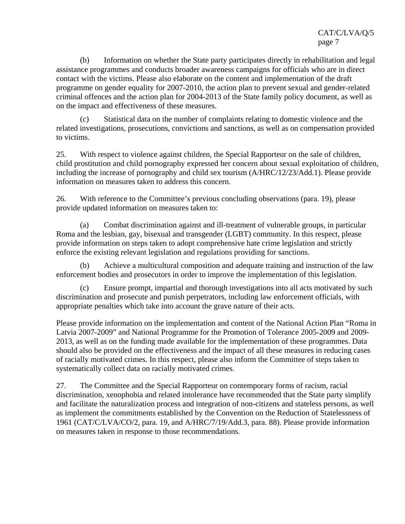(b) Information on whether the State party participates directly in rehabilitation and legal assistance programmes and conducts broader awareness campaigns for officials who are in direct contact with the victims. Please also elaborate on the content and implementation of the draft programme on gender equality for 2007-2010, the action plan to prevent sexual and gender-related criminal offences and the action plan for 2004-2013 of the State family policy document, as well as on the impact and effectiveness of these measures.

(c) Statistical data on the number of complaints relating to domestic violence and the related investigations, prosecutions, convictions and sanctions, as well as on compensation provided to victims.

25. With respect to violence against children, the Special Rapporteur on the sale of children, child prostitution and child pornography expressed her concern about sexual exploitation of children, including the increase of pornography and child sex tourism (A/HRC/12/23/Add.1). Please provide information on measures taken to address this concern.

26. With reference to the Committee's previous concluding observations (para. 19), please provide updated information on measures taken to:

(a) Combat discrimination against and ill-treatment of vulnerable groups, in particular Roma and the lesbian, gay, bisexual and transgender (LGBT) community. In this respect, please provide information on steps taken to adopt comprehensive hate crime legislation and strictly enforce the existing relevant legislation and regulations providing for sanctions.

(b) Achieve a multicultural composition and adequate training and instruction of the law enforcement bodies and prosecutors in order to improve the implementation of this legislation.

(c) Ensure prompt, impartial and thorough investigations into all acts motivated by such discrimination and prosecute and punish perpetrators, including law enforcement officials, with appropriate penalties which take into account the grave nature of their acts.

Please provide information on the implementation and content of the National Action Plan "Roma in Latvia 2007-2009" and National Programme for the Promotion of Tolerance 2005-2009 and 2009- 2013, as well as on the funding made available for the implementation of these programmes. Data should also be provided on the effectiveness and the impact of all these measures in reducing cases of racially motivated crimes. In this respect, please also inform the Committee of steps taken to systematically collect data on racially motivated crimes.

27. The Committee and the Special Rapporteur on contemporary forms of racism, racial discrimination, xenophobia and related intolerance have recommended that the State party simplify and facilitate the naturalization process and integration of non-citizens and stateless persons, as well as implement the commitments established by the Convention on the Reduction of Statelessness of 1961 (CAT/C/LVA/CO/2, para. 19, and A/HRC/7/19/Add.3, para. 88). Please provide information on measures taken in response to those recommendations.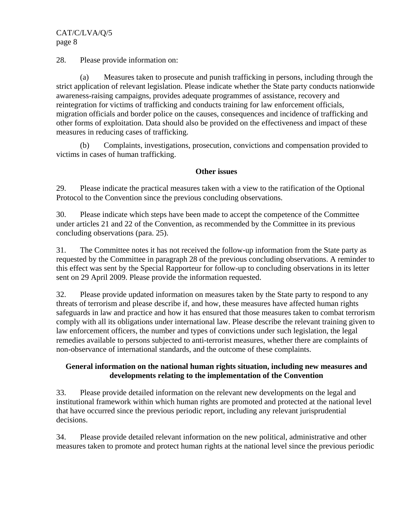#### CAT/C/LVA/Q/5 page 8

28. Please provide information on:

(a) Measures taken to prosecute and punish trafficking in persons, including through the strict application of relevant legislation. Please indicate whether the State party conducts nationwide awareness-raising campaigns, provides adequate programmes of assistance, recovery and reintegration for victims of trafficking and conducts training for law enforcement officials, migration officials and border police on the causes, consequences and incidence of trafficking and other forms of exploitation. Data should also be provided on the effectiveness and impact of these measures in reducing cases of trafficking.

(b) Complaints, investigations, prosecution, convictions and compensation provided to victims in cases of human trafficking.

#### **Other issues**

29. Please indicate the practical measures taken with a view to the ratification of the Optional Protocol to the Convention since the previous concluding observations.

30. Please indicate which steps have been made to accept the competence of the Committee under articles 21 and 22 of the Convention, as recommended by the Committee in its previous concluding observations (para. 25).

31. The Committee notes it has not received the follow-up information from the State party as requested by the Committee in paragraph 28 of the previous concluding observations. A reminder to this effect was sent by the Special Rapporteur for follow-up to concluding observations in its letter sent on 29 April 2009. Please provide the information requested.

32. Please provide updated information on measures taken by the State party to respond to any threats of terrorism and please describe if, and how, these measures have affected human rights safeguards in law and practice and how it has ensured that those measures taken to combat terrorism comply with all its obligations under international law. Please describe the relevant training given to law enforcement officers, the number and types of convictions under such legislation, the legal remedies available to persons subjected to anti-terrorist measures, whether there are complaints of non-observance of international standards, and the outcome of these complaints.

#### **General information on the national human rights situation, including new measures and developments relating to the implementation of the Convention**

33. Please provide detailed information on the relevant new developments on the legal and institutional framework within which human rights are promoted and protected at the national level that have occurred since the previous periodic report, including any relevant jurisprudential decisions.

34. Please provide detailed relevant information on the new political, administrative and other measures taken to promote and protect human rights at the national level since the previous periodic